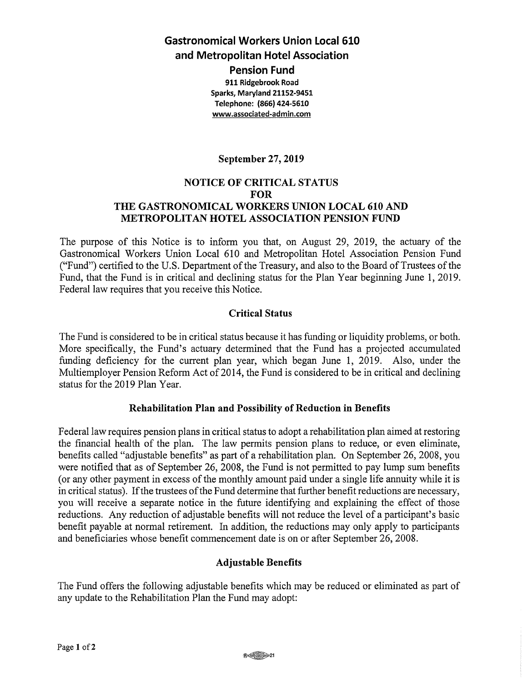**Gastronomical Workers Union Local 610 and Metropolitan Hotel Association** 

**Pension Fund 911 Ridgebrook Road Sparks, Maryland 21152-9451 Telephone: (866) 424-5610 <www.associated-admin.com>**

## **September 27, 2019**

### **NOTICE OF CRITICAL STATUS FOR THE GASTRONOMICAL WORKERS UNION LOCAL 610 AND METROPOLITAN HOTEL ASSOCIATION PENSION FUND**

The purpose of this Notice is to inform you that, on August 29, 2019, the actuary of the Gastronomical Workers Union Local 610 and Metropolitan Hotel Association Pension Fund ("Fund") certified to the U.S. Department of the Treasury, and also to the Board of Trustees of the Fund, that the Fund is in critical and declining status for the Plan Year beginning June 1, 2019. Federal law requires that you receive this Notice.

#### **Critical Status**

The Fund is considered to be in critical status because it has funding or liquidity problems, or both. More specifically, the Fund's actuary determined that the Fund has a projected accumulated funding deficiency for the current plan year, which began June 1, 2019. Also, under the Multiemployer Pension Reform Act of 2014, the Fund is considered to be in critical and declining status for the 2019 Plan Year.

#### **Rehabilitation Plan and Possibility of Reduction in Benefits**

Federal law requires pension plans in critical status to adopt a rehabilitation plan aimed at restoring the financial health of the plan. The law permits pension plans to reduce, or even eliminate, benefits called "adjustable benefits" as part of a rehabilitation plan. On September 26, 2008, you were notified that as of September 26, 2008, the Fund is not permitted to pay lump sum benefits (or any other payment in excess of the monthly amount paid under a single life annuity while it is in critical status). If the trustees of the Fund determine that further benefit reductions are necessary, you will receive a separate notice in the future identifying and explaining the effect of those reductions. Any reduction of adjustable benefits will not reduce the level of a participant's basic benefit payable at normal retirement. In addition, the reductions may only apply to participants and beneficiaries whose benefit commencement date is on or after September 26, 2008.

#### **Adjustable Benefits**

The Fund offers the following adjustable benefits which may be reduced or eliminated as part of any update to the Rehabilitation Plan the Fund may adopt: